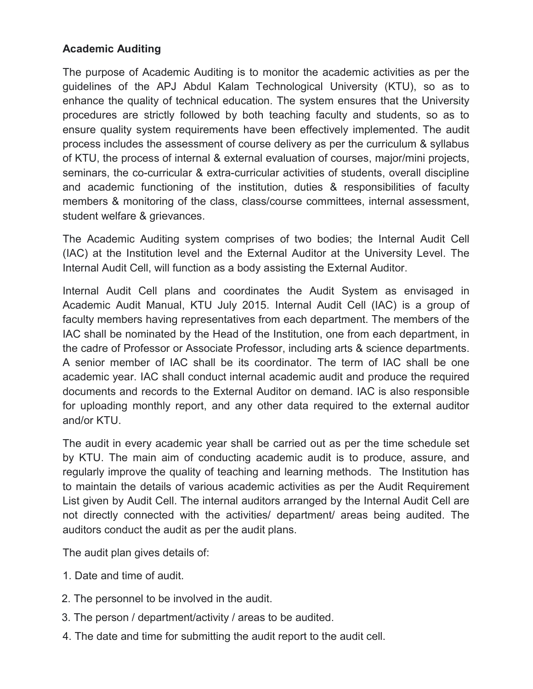## Academic Auditing

The purpose of Academic Auditing is to monitor the academic activities as per the guidelines of the APJ Abdul Kalam Technological University (KTU), so as to enhance the quality of technical education. The system ensures that the University procedures are strictly followed by both teaching faculty and students, so as to ensure quality system requirements have been effectively implemented. The audit process includes the assessment of course delivery as per the curriculum & syllabus of KTU, the process of internal & external evaluation of courses, major/mini projects, seminars, the co-curricular & extra-curricular activities of students, overall discipline and academic functioning of the institution, duties & responsibilities of faculty members & monitoring of the class, class/course committees, internal assessment, student welfare & grievances.

The Academic Auditing system comprises of two bodies; the Internal Audit Cell (IAC) at the Institution level and the External Auditor at the University Level. The Internal Audit Cell, will function as a body assisting the External Auditor.

Internal Audit Cell plans and coordinates the Audit System as envisaged in Academic Audit Manual, KTU July 2015. Internal Audit Cell (IAC) is a group of faculty members having representatives from each department. The members of the IAC shall be nominated by the Head of the Institution, one from each department, in the cadre of Professor or Associate Professor, including arts & science departments. A senior member of IAC shall be its coordinator. The term of IAC shall be one academic year. IAC shall conduct internal academic audit and produce the required documents and records to the External Auditor on demand. IAC is also responsible for uploading monthly report, and any other data required to the external auditor and/or KTU.

The audit in every academic year shall be carried out as per the time schedule set by KTU. The main aim of conducting academic audit is to produce, assure, and regularly improve the quality of teaching and learning methods. The Institution has to maintain the details of various academic activities as per the Audit Requirement List given by Audit Cell. The internal auditors arranged by the Internal Audit Cell are not directly connected with the activities/ department/ areas being audited. The auditors conduct the audit as per the audit plans.

The audit plan gives details of:

- 1. Date and time of audit.
- 2. The personnel to be involved in the audit.
- 3. The person / department/activity / areas to be audited.
- 4. The date and time for submitting the audit report to the audit cell.